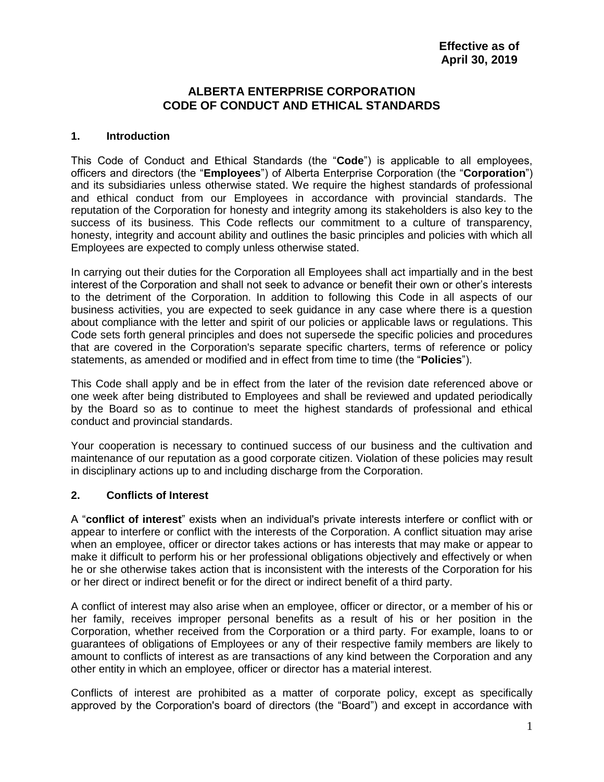#### **ALBERTA ENTERPRISE CORPORATION CODE OF CONDUCT AND ETHICAL STANDARDS**

#### **1. Introduction**

This Code of Conduct and Ethical Standards (the "**Code**") is applicable to all employees, officers and directors (the "**Employees**") of Alberta Enterprise Corporation (the "**Corporation**") and its subsidiaries unless otherwise stated. We require the highest standards of professional and ethical conduct from our Employees in accordance with provincial standards. The reputation of the Corporation for honesty and integrity among its stakeholders is also key to the success of its business. This Code reflects our commitment to a culture of transparency, honesty, integrity and account ability and outlines the basic principles and policies with which all Employees are expected to comply unless otherwise stated.

In carrying out their duties for the Corporation all Employees shall act impartially and in the best interest of the Corporation and shall not seek to advance or benefit their own or other's interests to the detriment of the Corporation. In addition to following this Code in all aspects of our business activities, you are expected to seek guidance in any case where there is a question about compliance with the letter and spirit of our policies or applicable laws or regulations. This Code sets forth general principles and does not supersede the specific policies and procedures that are covered in the Corporation's separate specific charters, terms of reference or policy statements, as amended or modified and in effect from time to time (the "**Policies**").

This Code shall apply and be in effect from the later of the revision date referenced above or one week after being distributed to Employees and shall be reviewed and updated periodically by the Board so as to continue to meet the highest standards of professional and ethical conduct and provincial standards.

Your cooperation is necessary to continued success of our business and the cultivation and maintenance of our reputation as a good corporate citizen. Violation of these policies may result in disciplinary actions up to and including discharge from the Corporation.

#### **2. Conflicts of Interest**

A "**conflict of interest**" exists when an individual's private interests interfere or conflict with or appear to interfere or conflict with the interests of the Corporation. A conflict situation may arise when an employee, officer or director takes actions or has interests that may make or appear to make it difficult to perform his or her professional obligations objectively and effectively or when he or she otherwise takes action that is inconsistent with the interests of the Corporation for his or her direct or indirect benefit or for the direct or indirect benefit of a third party.

A conflict of interest may also arise when an employee, officer or director, or a member of his or her family, receives improper personal benefits as a result of his or her position in the Corporation, whether received from the Corporation or a third party. For example, loans to or guarantees of obligations of Employees or any of their respective family members are likely to amount to conflicts of interest as are transactions of any kind between the Corporation and any other entity in which an employee, officer or director has a material interest.

Conflicts of interest are prohibited as a matter of corporate policy, except as specifically approved by the Corporation's board of directors (the "Board") and except in accordance with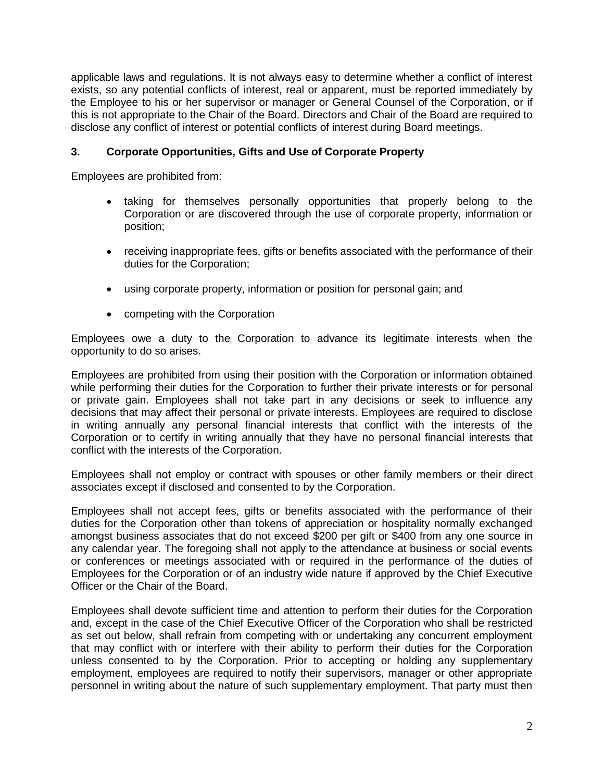applicable laws and regulations. It is not always easy to determine whether a conflict of interest exists, so any potential conflicts of interest, real or apparent, must be reported immediately by the Employee to his or her supervisor or manager or General Counsel of the Corporation, or if this is not appropriate to the Chair of the Board. Directors and Chair of the Board are required to disclose any conflict of interest or potential conflicts of interest during Board meetings.

#### **3. Corporate Opportunities, Gifts and Use of Corporate Property**

Employees are prohibited from:

- taking for themselves personally opportunities that properly belong to the Corporation or are discovered through the use of corporate property, information or position;
- receiving inappropriate fees, gifts or benefits associated with the performance of their duties for the Corporation;
- using corporate property, information or position for personal gain; and
- competing with the Corporation

Employees owe a duty to the Corporation to advance its legitimate interests when the opportunity to do so arises.

Employees are prohibited from using their position with the Corporation or information obtained while performing their duties for the Corporation to further their private interests or for personal or private gain. Employees shall not take part in any decisions or seek to influence any decisions that may affect their personal or private interests. Employees are required to disclose in writing annually any personal financial interests that conflict with the interests of the Corporation or to certify in writing annually that they have no personal financial interests that conflict with the interests of the Corporation.

Employees shall not employ or contract with spouses or other family members or their direct associates except if disclosed and consented to by the Corporation.

Employees shall not accept fees, gifts or benefits associated with the performance of their duties for the Corporation other than tokens of appreciation or hospitality normally exchanged amongst business associates that do not exceed \$200 per gift or \$400 from any one source in any calendar year. The foregoing shall not apply to the attendance at business or social events or conferences or meetings associated with or required in the performance of the duties of Employees for the Corporation or of an industry wide nature if approved by the Chief Executive Officer or the Chair of the Board.

Employees shall devote sufficient time and attention to perform their duties for the Corporation and, except in the case of the Chief Executive Officer of the Corporation who shall be restricted as set out below, shall refrain from competing with or undertaking any concurrent employment that may conflict with or interfere with their ability to perform their duties for the Corporation unless consented to by the Corporation. Prior to accepting or holding any supplementary employment, employees are required to notify their supervisors, manager or other appropriate personnel in writing about the nature of such supplementary employment. That party must then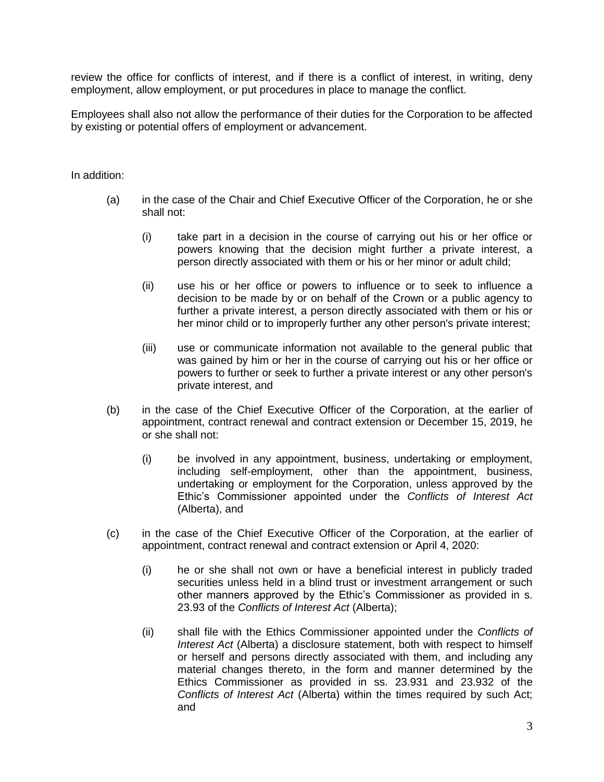review the office for conflicts of interest, and if there is a conflict of interest, in writing, deny employment, allow employment, or put procedures in place to manage the conflict.

Employees shall also not allow the performance of their duties for the Corporation to be affected by existing or potential offers of employment or advancement.

In addition:

- (a) in the case of the Chair and Chief Executive Officer of the Corporation, he or she shall not:
	- (i) take part in a decision in the course of carrying out his or her office or powers knowing that the decision might further a private interest, a person directly associated with them or his or her minor or adult child;
	- (ii) use his or her office or powers to influence or to seek to influence a decision to be made by or on behalf of the Crown or a public agency to further a private interest, a person directly associated with them or his or her minor child or to improperly further any other person's private interest;
	- (iii) use or communicate information not available to the general public that was gained by him or her in the course of carrying out his or her office or powers to further or seek to further a private interest or any other person's private interest, and
- (b) in the case of the Chief Executive Officer of the Corporation, at the earlier of appointment, contract renewal and contract extension or December 15, 2019, he or she shall not:
	- (i) be involved in any appointment, business, undertaking or employment, including self-employment, other than the appointment, business, undertaking or employment for the Corporation, unless approved by the Ethic's Commissioner appointed under the *Conflicts of Interest Act* (Alberta), and
- (c) in the case of the Chief Executive Officer of the Corporation, at the earlier of appointment, contract renewal and contract extension or April 4, 2020:
	- (i) he or she shall not own or have a beneficial interest in publicly traded securities unless held in a blind trust or investment arrangement or such other manners approved by the Ethic's Commissioner as provided in s. 23.93 of the *Conflicts of Interest Act* (Alberta);
	- (ii) shall file with the Ethics Commissioner appointed under the *Conflicts of Interest Act* (Alberta) a disclosure statement, both with respect to himself or herself and persons directly associated with them, and including any material changes thereto, in the form and manner determined by the Ethics Commissioner as provided in ss. 23.931 and 23.932 of the *Conflicts of Interest Act* (Alberta) within the times required by such Act; and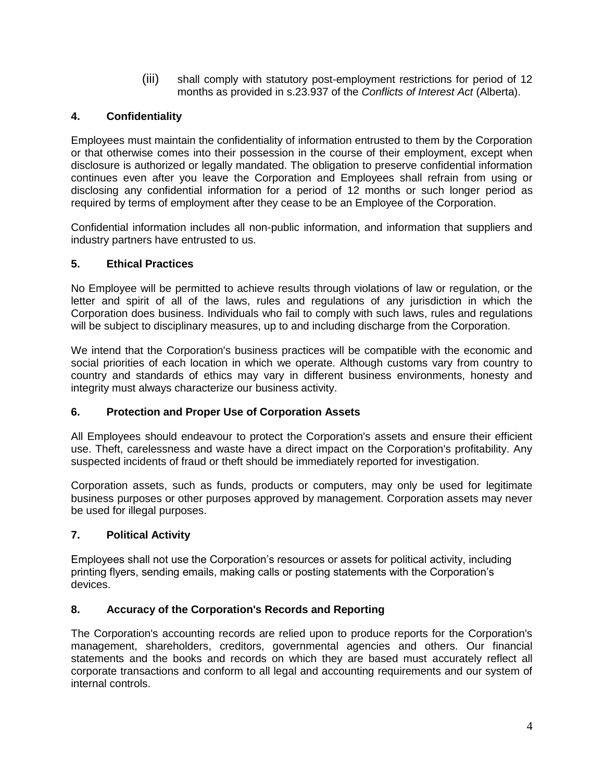(iii) shall comply with statutory post-employment restrictions for period of 12 months as provided in s.23.937 of the *Conflicts of Interest Act* (Alberta).

## **4. Confidentiality**

Employees must maintain the confidentiality of information entrusted to them by the Corporation or that otherwise comes into their possession in the course of their employment, except when disclosure is authorized or legally mandated. The obligation to preserve confidential information continues even after you leave the Corporation and Employees shall refrain from using or disclosing any confidential information for a period of 12 months or such longer period as required by terms of employment after they cease to be an Employee of the Corporation.

Confidential information includes all non-public information, and information that suppliers and industry partners have entrusted to us.

#### **5. Ethical Practices**

No Employee will be permitted to achieve results through violations of law or regulation, or the letter and spirit of all of the laws, rules and regulations of any jurisdiction in which the Corporation does business. Individuals who fail to comply with such laws, rules and regulations will be subject to disciplinary measures, up to and including discharge from the Corporation.

We intend that the Corporation's business practices will be compatible with the economic and social priorities of each location in which we operate. Although customs vary from country to country and standards of ethics may vary in different business environments, honesty and integrity must always characterize our business activity.

## **6. Protection and Proper Use of Corporation Assets**

All Employees should endeavour to protect the Corporation's assets and ensure their efficient use. Theft, carelessness and waste have a direct impact on the Corporation's profitability. Any suspected incidents of fraud or theft should be immediately reported for investigation.

Corporation assets, such as funds, products or computers, may only be used for legitimate business purposes or other purposes approved by management. Corporation assets may never be used for illegal purposes.

## **7. Political Activity**

Employees shall not use the Corporation's resources or assets for political activity, including printing flyers, sending emails, making calls or posting statements with the Corporation's devices.

## **8. Accuracy of the Corporation's Records and Reporting**

The Corporation's accounting records are relied upon to produce reports for the Corporation's management, shareholders, creditors, governmental agencies and others. Our financial statements and the books and records on which they are based must accurately reflect all corporate transactions and conform to all legal and accounting requirements and our system of internal controls.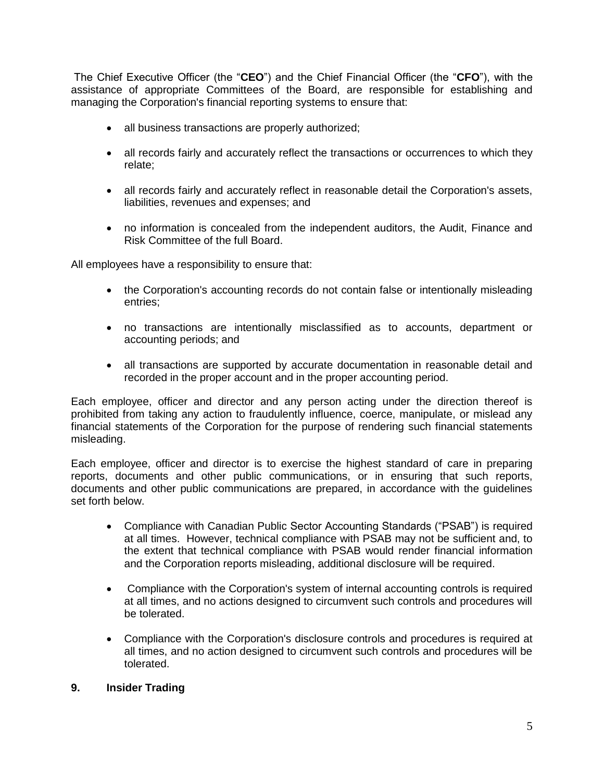The Chief Executive Officer (the "**CEO**") and the Chief Financial Officer (the "**CFO**"), with the assistance of appropriate Committees of the Board, are responsible for establishing and managing the Corporation's financial reporting systems to ensure that:

- all business transactions are properly authorized;
- all records fairly and accurately reflect the transactions or occurrences to which they relate;
- all records fairly and accurately reflect in reasonable detail the Corporation's assets, liabilities, revenues and expenses; and
- no information is concealed from the independent auditors, the Audit, Finance and Risk Committee of the full Board.

All employees have a responsibility to ensure that:

- the Corporation's accounting records do not contain false or intentionally misleading entries;
- no transactions are intentionally misclassified as to accounts, department or accounting periods; and
- all transactions are supported by accurate documentation in reasonable detail and recorded in the proper account and in the proper accounting period.

Each employee, officer and director and any person acting under the direction thereof is prohibited from taking any action to fraudulently influence, coerce, manipulate, or mislead any financial statements of the Corporation for the purpose of rendering such financial statements misleading.

Each employee, officer and director is to exercise the highest standard of care in preparing reports, documents and other public communications, or in ensuring that such reports, documents and other public communications are prepared, in accordance with the guidelines set forth below.

- Compliance with Canadian Public Sector Accounting Standards ("PSAB") is required at all times. However, technical compliance with PSAB may not be sufficient and, to the extent that technical compliance with PSAB would render financial information and the Corporation reports misleading, additional disclosure will be required.
- Compliance with the Corporation's system of internal accounting controls is required at all times, and no actions designed to circumvent such controls and procedures will be tolerated.
- Compliance with the Corporation's disclosure controls and procedures is required at all times, and no action designed to circumvent such controls and procedures will be tolerated.

#### **9. Insider Trading**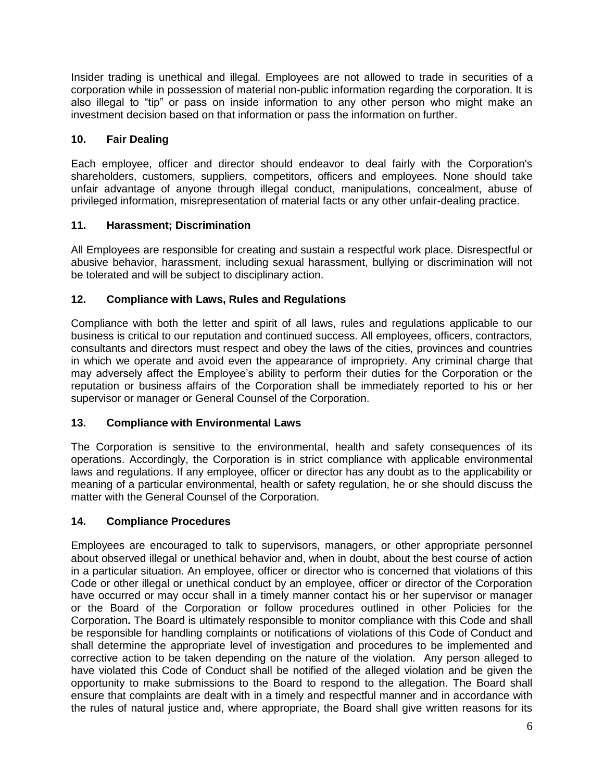Insider trading is unethical and illegal. Employees are not allowed to trade in securities of a corporation while in possession of material non-public information regarding the corporation. It is also illegal to "tip" or pass on inside information to any other person who might make an investment decision based on that information or pass the information on further.

# **10. Fair Dealing**

Each employee, officer and director should endeavor to deal fairly with the Corporation's shareholders, customers, suppliers, competitors, officers and employees. None should take unfair advantage of anyone through illegal conduct, manipulations, concealment, abuse of privileged information, misrepresentation of material facts or any other unfair-dealing practice.

# **11. Harassment; Discrimination**

All Employees are responsible for creating and sustain a respectful work place. Disrespectful or abusive behavior, harassment, including sexual harassment, bullying or discrimination will not be tolerated and will be subject to disciplinary action.

# **12. Compliance with Laws, Rules and Regulations**

Compliance with both the letter and spirit of all laws, rules and regulations applicable to our business is critical to our reputation and continued success. All employees, officers, contractors, consultants and directors must respect and obey the laws of the cities, provinces and countries in which we operate and avoid even the appearance of impropriety. Any criminal charge that may adversely affect the Employee's ability to perform their duties for the Corporation or the reputation or business affairs of the Corporation shall be immediately reported to his or her supervisor or manager or General Counsel of the Corporation.

## **13. Compliance with Environmental Laws**

The Corporation is sensitive to the environmental, health and safety consequences of its operations. Accordingly, the Corporation is in strict compliance with applicable environmental laws and regulations. If any employee, officer or director has any doubt as to the applicability or meaning of a particular environmental, health or safety regulation, he or she should discuss the matter with the General Counsel of the Corporation.

## **14. Compliance Procedures**

Employees are encouraged to talk to supervisors, managers, or other appropriate personnel about observed illegal or unethical behavior and, when in doubt, about the best course of action in a particular situation. An employee, officer or director who is concerned that violations of this Code or other illegal or unethical conduct by an employee, officer or director of the Corporation have occurred or may occur shall in a timely manner contact his or her supervisor or manager or the Board of the Corporation or follow procedures outlined in other Policies for the Corporation**.** The Board is ultimately responsible to monitor compliance with this Code and shall be responsible for handling complaints or notifications of violations of this Code of Conduct and shall determine the appropriate level of investigation and procedures to be implemented and corrective action to be taken depending on the nature of the violation. Any person alleged to have violated this Code of Conduct shall be notified of the alleged violation and be given the opportunity to make submissions to the Board to respond to the allegation. The Board shall ensure that complaints are dealt with in a timely and respectful manner and in accordance with the rules of natural justice and, where appropriate, the Board shall give written reasons for its